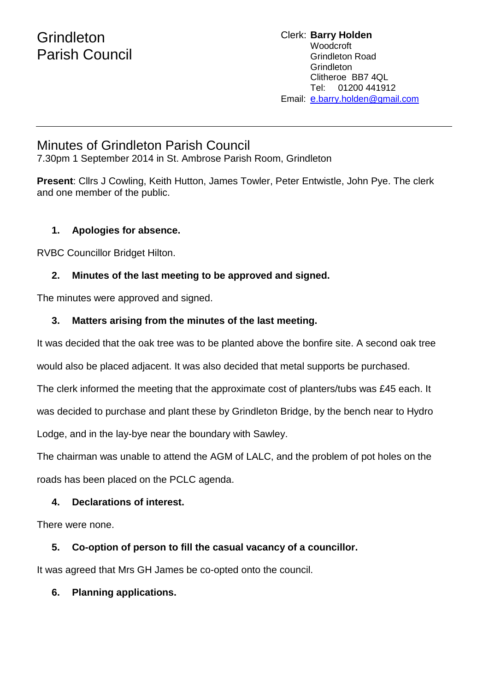# Minutes of Grindleton Parish Council

7.30pm 1 September 2014 in St. Ambrose Parish Room, Grindleton

**Present**: Cllrs J Cowling, Keith Hutton, James Towler, Peter Entwistle, John Pye. The clerk and one member of the public.

#### **1. Apologies for absence.**

RVBC Councillor Bridget Hilton.

# **2. Minutes of the last meeting to be approved and signed.**

The minutes were approved and signed.

#### **3. Matters arising from the minutes of the last meeting.**

It was decided that the oak tree was to be planted above the bonfire site. A second oak tree

would also be placed adjacent. It was also decided that metal supports be purchased.

The clerk informed the meeting that the approximate cost of planters/tubs was £45 each. It

was decided to purchase and plant these by Grindleton Bridge, by the bench near to Hydro

Lodge, and in the lay-bye near the boundary with Sawley.

The chairman was unable to attend the AGM of LALC, and the problem of pot holes on the roads has been placed on the PCLC agenda.

# **4. Declarations of interest.**

There were none.

# **5. Co-option of person to fill the casual vacancy of a councillor.**

It was agreed that Mrs GH James be co-opted onto the council.

# **6. Planning applications.**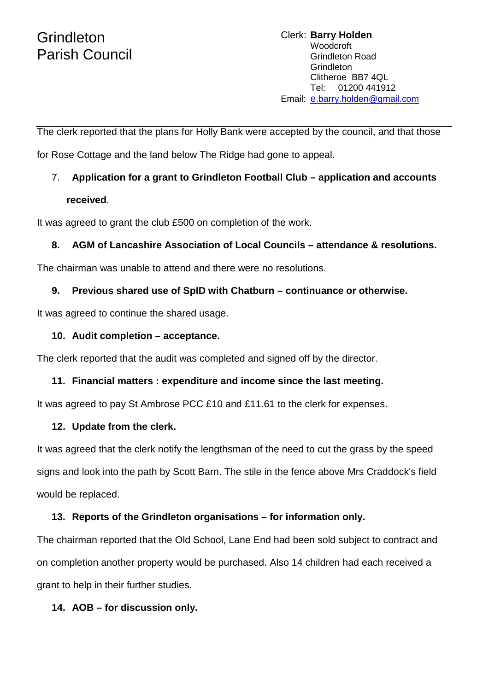# **Grindleton** Parish Council

The clerk reported that the plans for Holly Bank were accepted by the council, and that those

for Rose Cottage and the land below The Ridge had gone to appeal.

# 7. **Application for a grant to Grindleton Football Club – application and accounts received**.

It was agreed to grant the club £500 on completion of the work.

# **8. AGM of Lancashire Association of Local Councils – attendance & resolutions.**

The chairman was unable to attend and there were no resolutions.

#### **9. Previous shared use of SpID with Chatburn – continuance or otherwise.**

It was agreed to continue the shared usage.

#### **10. Audit completion – acceptance.**

The clerk reported that the audit was completed and signed off by the director.

#### **11. Financial matters : expenditure and income since the last meeting.**

It was agreed to pay St Ambrose PCC £10 and £11.61 to the clerk for expenses.

#### **12. Update from the clerk.**

It was agreed that the clerk notify the lengthsman of the need to cut the grass by the speed signs and look into the path by Scott Barn. The stile in the fence above Mrs Craddock's field would be replaced.

# **13. Reports of the Grindleton organisations – for information only.**

The chairman reported that the Old School, Lane End had been sold subject to contract and on completion another property would be purchased. Also 14 children had each received a grant to help in their further studies.

# **14. AOB – for discussion only.**